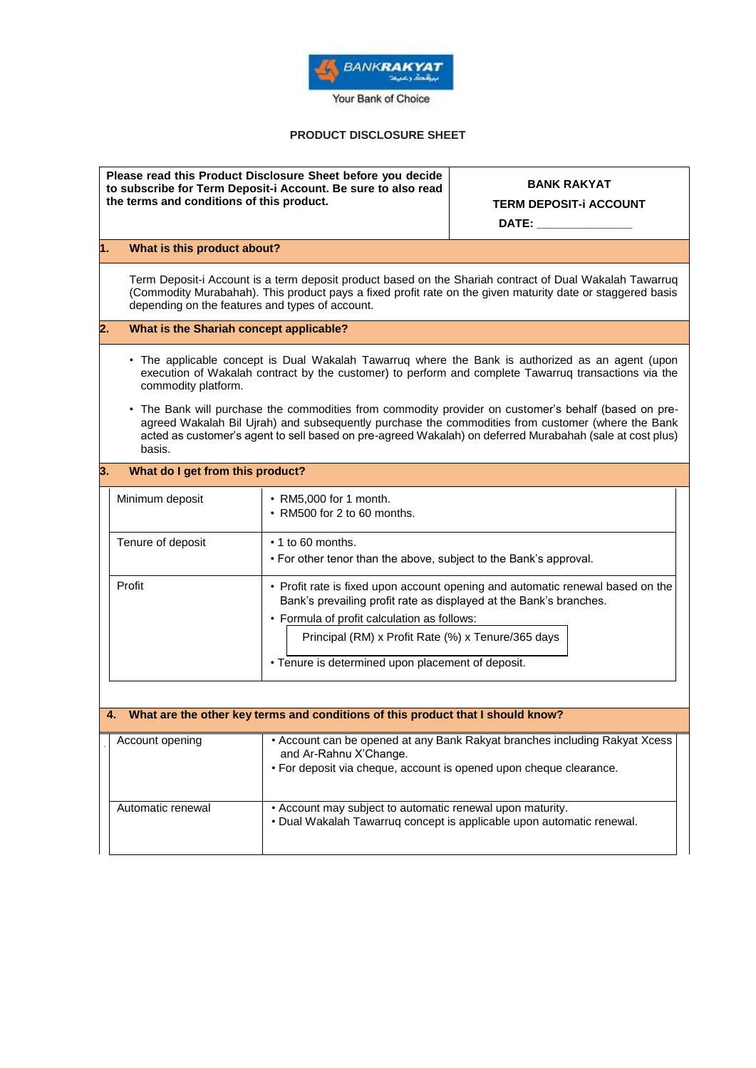

## **PRODUCT DISCLOSURE SHEET**

| Please read this Product Disclosure Sheet before you decide<br>to subscribe for Term Deposit-i Account. Be sure to also read<br>the terms and conditions of this product. |                                                                                                                                                                                                                                                                                                                                    |                                                                                                                                                                                                                              | <b>BANK RAKYAT</b><br><b>TERM DEPOSIT-i ACCOUNT</b><br>DATE: www.communications.com |  |  |
|---------------------------------------------------------------------------------------------------------------------------------------------------------------------------|------------------------------------------------------------------------------------------------------------------------------------------------------------------------------------------------------------------------------------------------------------------------------------------------------------------------------------|------------------------------------------------------------------------------------------------------------------------------------------------------------------------------------------------------------------------------|-------------------------------------------------------------------------------------|--|--|
| 1.                                                                                                                                                                        | What is this product about?                                                                                                                                                                                                                                                                                                        |                                                                                                                                                                                                                              |                                                                                     |  |  |
|                                                                                                                                                                           | Term Deposit-i Account is a term deposit product based on the Shariah contract of Dual Wakalah Tawarruq<br>(Commodity Murabahah). This product pays a fixed profit rate on the given maturity date or staggered basis<br>depending on the features and types of account.                                                           |                                                                                                                                                                                                                              |                                                                                     |  |  |
| $\overline{2}$ .<br>What is the Shariah concept applicable?                                                                                                               |                                                                                                                                                                                                                                                                                                                                    |                                                                                                                                                                                                                              |                                                                                     |  |  |
|                                                                                                                                                                           | • The applicable concept is Dual Wakalah Tawarruq where the Bank is authorized as an agent (upon<br>execution of Wakalah contract by the customer) to perform and complete Tawarruq transactions via the<br>commodity platform.                                                                                                    |                                                                                                                                                                                                                              |                                                                                     |  |  |
|                                                                                                                                                                           | The Bank will purchase the commodities from commodity provider on customer's behalf (based on pre-<br>٠<br>agreed Wakalah Bil Ujrah) and subsequently purchase the commodities from customer (where the Bank<br>acted as customer's agent to sell based on pre-agreed Wakalah) on deferred Murabahah (sale at cost plus)<br>basis. |                                                                                                                                                                                                                              |                                                                                     |  |  |
| 3.                                                                                                                                                                        | What do I get from this product?                                                                                                                                                                                                                                                                                                   |                                                                                                                                                                                                                              |                                                                                     |  |  |
|                                                                                                                                                                           | Minimum deposit                                                                                                                                                                                                                                                                                                                    | • RM5,000 for 1 month.<br>• RM500 for 2 to 60 months.                                                                                                                                                                        |                                                                                     |  |  |
|                                                                                                                                                                           | Tenure of deposit                                                                                                                                                                                                                                                                                                                  | • 1 to 60 months.<br>• For other tenor than the above, subject to the Bank's approval.                                                                                                                                       |                                                                                     |  |  |
|                                                                                                                                                                           | Profit                                                                                                                                                                                                                                                                                                                             | Bank's prevailing profit rate as displayed at the Bank's branches.<br>• Formula of profit calculation as follows:<br>Principal (RM) x Profit Rate (%) x Tenure/365 days<br>• Tenure is determined upon placement of deposit. | • Profit rate is fixed upon account opening and automatic renewal based on the      |  |  |
| What are the other key terms and conditions of this product that I should know?<br>4.                                                                                     |                                                                                                                                                                                                                                                                                                                                    |                                                                                                                                                                                                                              |                                                                                     |  |  |
|                                                                                                                                                                           | Account opening                                                                                                                                                                                                                                                                                                                    | and Ar-Rahnu X'Change.<br>· For deposit via cheque, account is opened upon cheque clearance.                                                                                                                                 | • Account can be opened at any Bank Rakyat branches including Rakyat Xcess          |  |  |
|                                                                                                                                                                           | Automatic renewal                                                                                                                                                                                                                                                                                                                  | • Account may subject to automatic renewal upon maturity.                                                                                                                                                                    | · Dual Wakalah Tawarruq concept is applicable upon automatic renewal.               |  |  |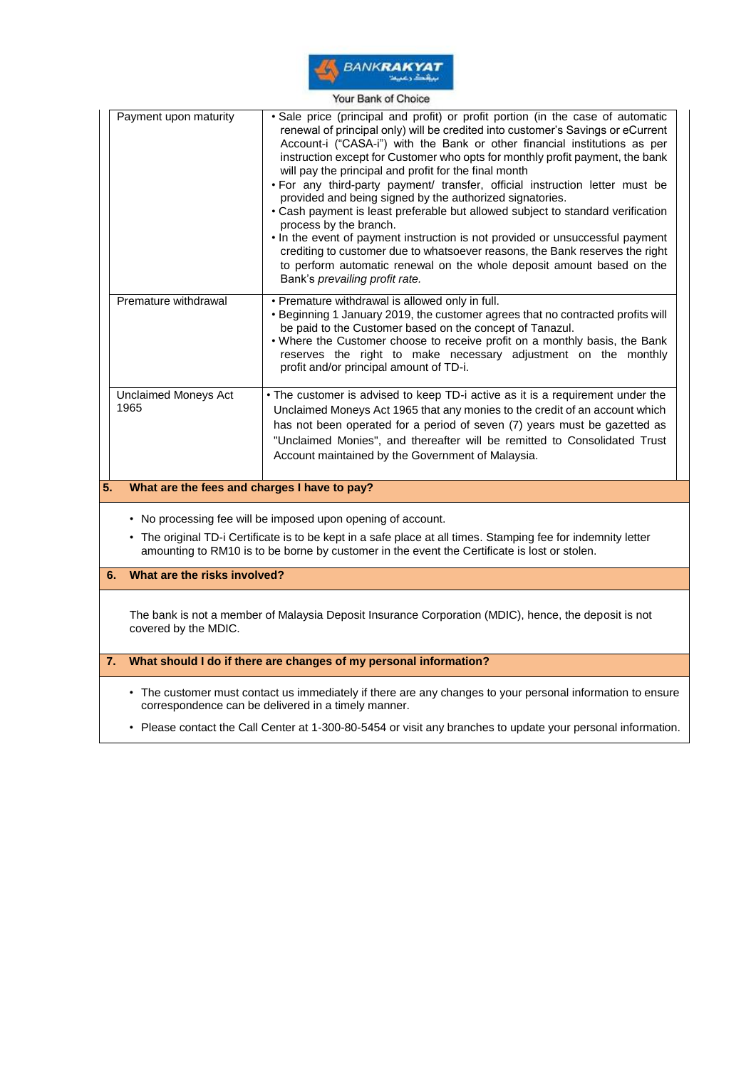

|                                                                                                                                                                                                                                                                               | Payment upon maturity                                                                                                                                             | · Sale price (principal and profit) or profit portion (in the case of automatic<br>renewal of principal only) will be credited into customer's Savings or eCurrent<br>Account-i ("CASA-i") with the Bank or other financial institutions as per<br>instruction except for Customer who opts for monthly profit payment, the bank<br>will pay the principal and profit for the final month<br>. For any third-party payment/ transfer, official instruction letter must be<br>provided and being signed by the authorized signatories.<br>• Cash payment is least preferable but allowed subject to standard verification<br>process by the branch.<br>. In the event of payment instruction is not provided or unsuccessful payment<br>crediting to customer due to whatsoever reasons, the Bank reserves the right<br>to perform automatic renewal on the whole deposit amount based on the<br>Bank's prevailing profit rate. |  |  |
|-------------------------------------------------------------------------------------------------------------------------------------------------------------------------------------------------------------------------------------------------------------------------------|-------------------------------------------------------------------------------------------------------------------------------------------------------------------|--------------------------------------------------------------------------------------------------------------------------------------------------------------------------------------------------------------------------------------------------------------------------------------------------------------------------------------------------------------------------------------------------------------------------------------------------------------------------------------------------------------------------------------------------------------------------------------------------------------------------------------------------------------------------------------------------------------------------------------------------------------------------------------------------------------------------------------------------------------------------------------------------------------------------------|--|--|
|                                                                                                                                                                                                                                                                               | Premature withdrawal                                                                                                                                              | • Premature withdrawal is allowed only in full.<br>• Beginning 1 January 2019, the customer agrees that no contracted profits will<br>be paid to the Customer based on the concept of Tanazul.<br>. Where the Customer choose to receive profit on a monthly basis, the Bank<br>reserves the right to make necessary adjustment on the monthly<br>profit and/or principal amount of TD-i.                                                                                                                                                                                                                                                                                                                                                                                                                                                                                                                                      |  |  |
|                                                                                                                                                                                                                                                                               | <b>Unclaimed Moneys Act</b><br>1965                                                                                                                               | • The customer is advised to keep TD-i active as it is a requirement under the<br>Unclaimed Moneys Act 1965 that any monies to the credit of an account which<br>has not been operated for a period of seven (7) years must be gazetted as<br>"Unclaimed Monies", and thereafter will be remitted to Consolidated Trust<br>Account maintained by the Government of Malaysia.                                                                                                                                                                                                                                                                                                                                                                                                                                                                                                                                                   |  |  |
| 5.                                                                                                                                                                                                                                                                            | What are the fees and charges I have to pay?                                                                                                                      |                                                                                                                                                                                                                                                                                                                                                                                                                                                                                                                                                                                                                                                                                                                                                                                                                                                                                                                                |  |  |
| • No processing fee will be imposed upon opening of account.<br>• The original TD-i Certificate is to be kept in a safe place at all times. Stamping fee for indemnity letter<br>amounting to RM10 is to be borne by customer in the event the Certificate is lost or stolen. |                                                                                                                                                                   |                                                                                                                                                                                                                                                                                                                                                                                                                                                                                                                                                                                                                                                                                                                                                                                                                                                                                                                                |  |  |
|                                                                                                                                                                                                                                                                               | What are the risks involved?<br>6.                                                                                                                                |                                                                                                                                                                                                                                                                                                                                                                                                                                                                                                                                                                                                                                                                                                                                                                                                                                                                                                                                |  |  |
|                                                                                                                                                                                                                                                                               | The bank is not a member of Malaysia Deposit Insurance Corporation (MDIC), hence, the deposit is not<br>covered by the MDIC.                                      |                                                                                                                                                                                                                                                                                                                                                                                                                                                                                                                                                                                                                                                                                                                                                                                                                                                                                                                                |  |  |
| 7.                                                                                                                                                                                                                                                                            | What should I do if there are changes of my personal information?                                                                                                 |                                                                                                                                                                                                                                                                                                                                                                                                                                                                                                                                                                                                                                                                                                                                                                                                                                                                                                                                |  |  |
|                                                                                                                                                                                                                                                                               | • The customer must contact us immediately if there are any changes to your personal information to ensure<br>correspondence can be delivered in a timely manner. |                                                                                                                                                                                                                                                                                                                                                                                                                                                                                                                                                                                                                                                                                                                                                                                                                                                                                                                                |  |  |
|                                                                                                                                                                                                                                                                               | • Please contact the Call Center at 1-300-80-5454 or visit any branches to update your personal information.                                                      |                                                                                                                                                                                                                                                                                                                                                                                                                                                                                                                                                                                                                                                                                                                                                                                                                                                                                                                                |  |  |